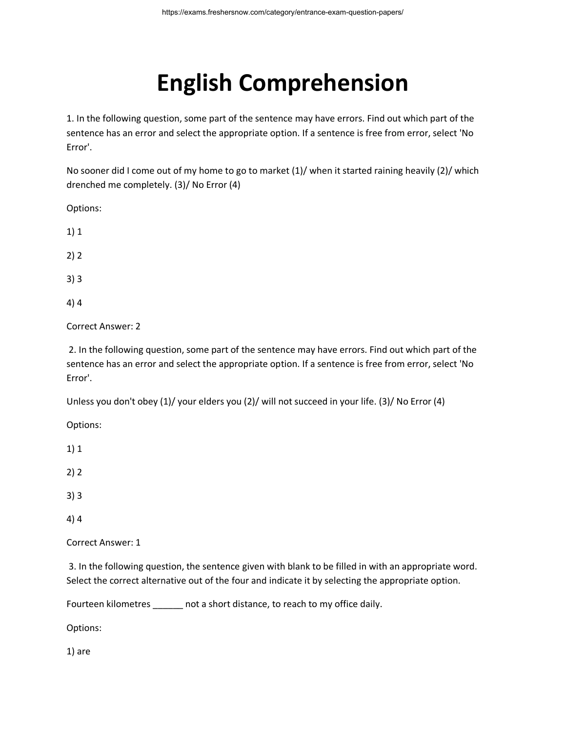## **English Comprehension**

1. In the following question, some part of the sentence may have errors. Find out which part of the sentence has an error and select the appropriate option. If a sentence is free from error, select 'No Error'.

No sooner did I come out of my home to go to market (1)/ when it started raining heavily (2)/ which drenched me completely. (3)/ No Error (4)

Options:

- 1) 1
- 2) 2
- 3) 3
- 4) 4

Correct Answer: 2

2. In the following question, some part of the sentence may have errors. Find out which part of the sentence has an error and select the appropriate option. If a sentence is free from error, select 'No Error'.

Unless you don't obey (1)/ your elders you (2)/ will not succeed in your life. (3)/ No Error (4)

Options:

1) 1

2) 2

- 3) 3
- 4) 4

Correct Answer: 1

3. In the following question, the sentence given with blank to be filled in with an appropriate word. Select the correct alternative out of the four and indicate it by selecting the appropriate option.

Fourteen kilometres hot a short distance, to reach to my office daily.

Options:

1) are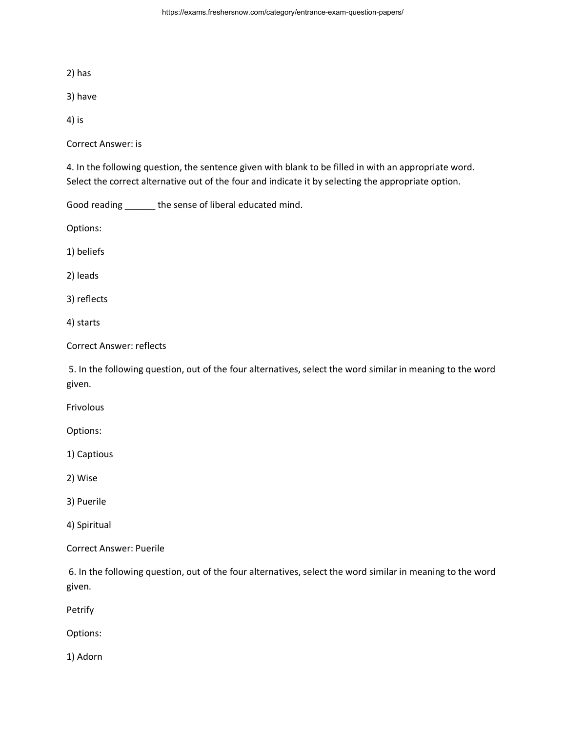2) has

3) have

4) is

Correct Answer: is

4. In the following question, the sentence given with blank to be filled in with an appropriate word. Select the correct alternative out of the four and indicate it by selecting the appropriate option.

Good reading \_\_\_\_\_\_ the sense of liberal educated mind.

Options:

1) beliefs

2) leads

3) reflects

4) starts

Correct Answer: reflects

5. In the following question, out of the four alternatives, select the word similar in meaning to the word given.

Frivolous

Options:

1) Captious

2) Wise

3) Puerile

4) Spiritual

Correct Answer: Puerile

6. In the following question, out of the four alternatives, select the word similar in meaning to the word given.

Petrify

Options:

1) Adorn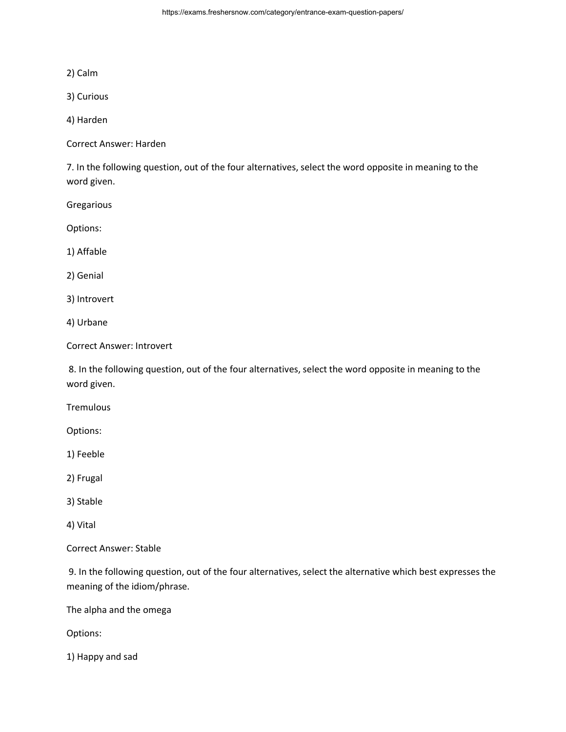2) Calm

3) Curious

4) Harden

Correct Answer: Harden

7. In the following question, out of the four alternatives, select the word opposite in meaning to the word given.

Gregarious

Options:

1) Affable

2) Genial

3) Introvert

4) Urbane

Correct Answer: Introvert

8. In the following question, out of the four alternatives, select the word opposite in meaning to the word given.

**Tremulous** 

Options:

1) Feeble

2) Frugal

3) Stable

4) Vital

Correct Answer: Stable

9. In the following question, out of the four alternatives, select the alternative which best expresses the meaning of the idiom/phrase.

The alpha and the omega

Options:

1) Happy and sad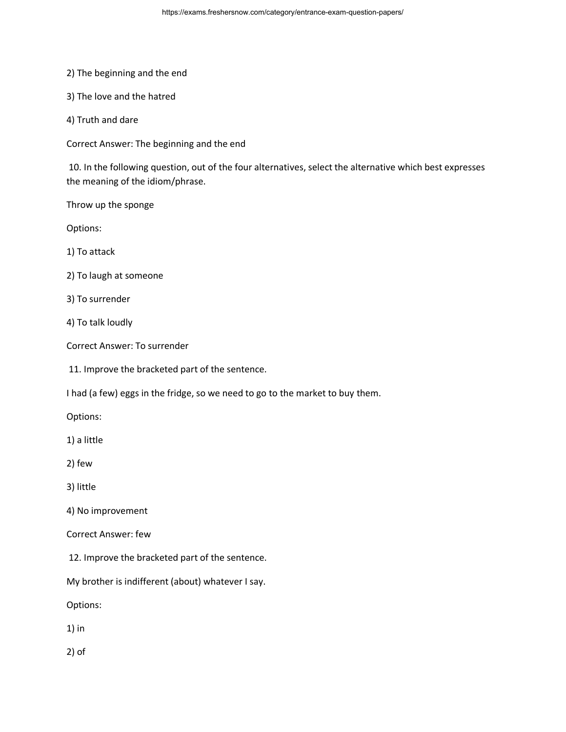2) The beginning and the end

3) The love and the hatred

4) Truth and dare

Correct Answer: The beginning and the end

10. In the following question, out of the four alternatives, select the alternative which best expresses the meaning of the idiom/phrase.

Throw up the sponge

Options:

1) To attack

2) To laugh at someone

3) To surrender

4) To talk loudly

Correct Answer: To surrender

11. Improve the bracketed part of the sentence.

I had (a few) eggs in the fridge, so we need to go to the market to buy them.

Options:

1) a little

2) few

3) little

4) No improvement

Correct Answer: few

12. Improve the bracketed part of the sentence.

My brother is indifferent (about) whatever I say.

Options:

1) in

2) of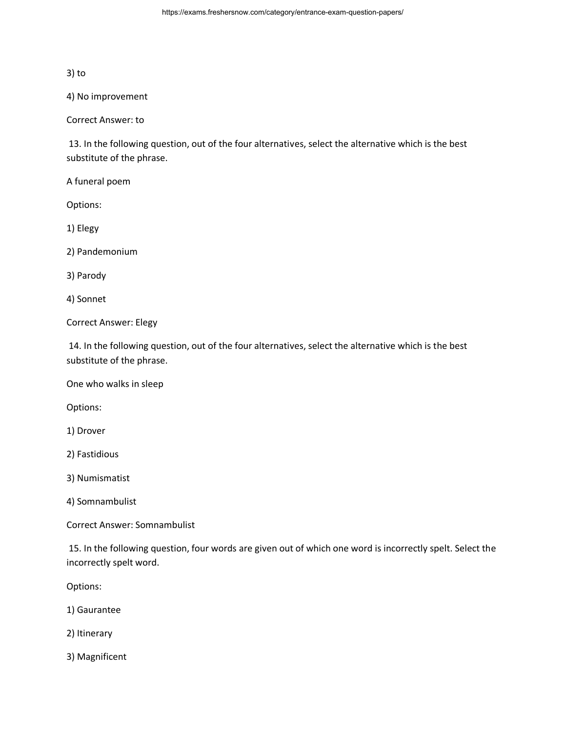## 3) to

4) No improvement

Correct Answer: to

13. In the following question, out of the four alternatives, select the alternative which is the best substitute of the phrase.

A funeral poem

Options:

1) Elegy

2) Pandemonium

3) Parody

4) Sonnet

Correct Answer: Elegy

14. In the following question, out of the four alternatives, select the alternative which is the best substitute of the phrase.

One who walks in sleep

Options:

1) Drover

2) Fastidious

3) Numismatist

4) Somnambulist

Correct Answer: Somnambulist

15. In the following question, four words are given out of which one word is incorrectly spelt. Select the incorrectly spelt word.

Options:

1) Gaurantee

2) Itinerary

3) Magnificent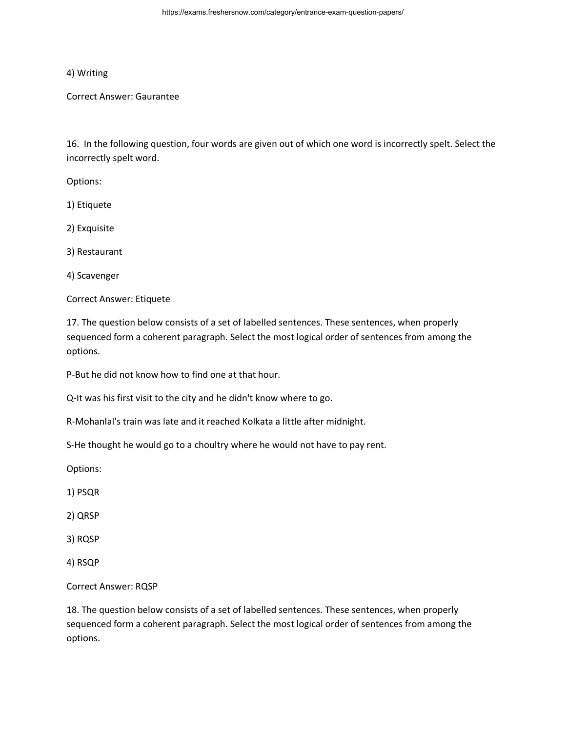## 4) Writing

Correct Answer: Gaurantee

16. In the following question, four words are given out of which one word is incorrectly spelt. Select the incorrectly spelt word.

Options:

1) Etiquete

2) Exquisite

3) Restaurant

4) Scavenger

Correct Answer: Etiquete

17. The question below consists of a set of labelled sentences. These sentences, when properly sequenced form a coherent paragraph. Select the most logical order of sentences from among the options.

P-But he did not know how to find one at that hour.

Q-It was his first visit to the city and he didn't know where to go.

R-Mohanlal's train was late and it reached Kolkata a little after midnight.

S-He thought he would go to a choultry where he would not have to pay rent.

Options:

1) PSQR

2) QRSP

3) RQSP

4) RSQP

Correct Answer: RQSP

18. The question below consists of a set of labelled sentences. These sentences, when properly sequenced form a coherent paragraph. Select the most logical order of sentences from among the options.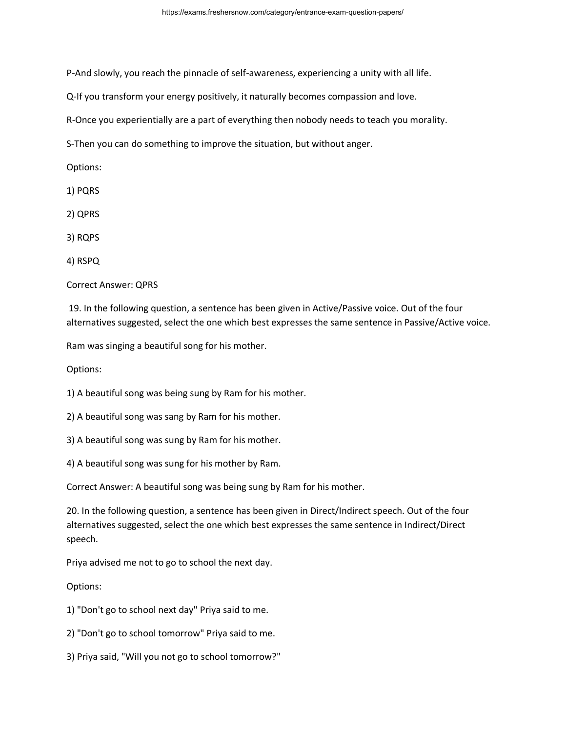P-And slowly, you reach the pinnacle of self-awareness, experiencing a unity with all life.

Q-If you transform your energy positively, it naturally becomes compassion and love.

R-Once you experientially are a part of everything then nobody needs to teach you morality.

S-Then you can do something to improve the situation, but without anger.

Options:

1) PQRS

2) QPRS

3) RQPS

4) RSPQ

Correct Answer: QPRS

19. In the following question, a sentence has been given in Active/Passive voice. Out of the four alternatives suggested, select the one which best expresses the same sentence in Passive/Active voice.

Ram was singing a beautiful song for his mother.

Options:

1) A beautiful song was being sung by Ram for his mother.

2) A beautiful song was sang by Ram for his mother.

3) A beautiful song was sung by Ram for his mother.

4) A beautiful song was sung for his mother by Ram.

Correct Answer: A beautiful song was being sung by Ram for his mother.

20. In the following question, a sentence has been given in Direct/Indirect speech. Out of the four alternatives suggested, select the one which best expresses the same sentence in Indirect/Direct speech.

Priya advised me not to go to school the next day.

Options:

1) "Don't go to school next day" Priya said to me.

2) "Don't go to school tomorrow" Priya said to me.

3) Priya said, "Will you not go to school tomorrow?"